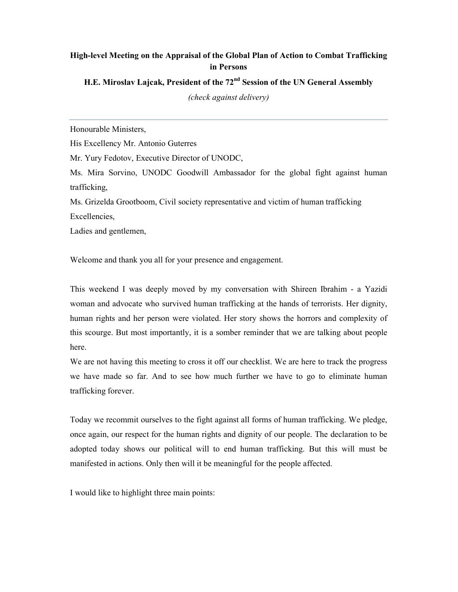## **High-level Meeting on the Appraisal of the Global Plan of Action to Combat Trafficking in Persons**

**H.E. Miroslav Lajcak, President of the 72nd Session of the UN General Assembly** 

*(check against delivery)* 

Honourable Ministers,

His Excellency Mr. Antonio Guterres

Mr. Yury Fedotov, Executive Director of UNODC,

Ms. Mira Sorvino, UNODC Goodwill Ambassador for the global fight against human trafficking,

Ms. Grizelda Grootboom, Civil society representative and victim of human trafficking Excellencies,

Ladies and gentlemen,

Welcome and thank you all for your presence and engagement.

This weekend I was deeply moved by my conversation with Shireen Ibrahim - a Yazidi woman and advocate who survived human trafficking at the hands of terrorists. Her dignity, human rights and her person were violated. Her story shows the horrors and complexity of this scourge. But most importantly, it is a somber reminder that we are talking about people here.

We are not having this meeting to cross it off our checklist. We are here to track the progress we have made so far. And to see how much further we have to go to eliminate human trafficking forever.

Today we recommit ourselves to the fight against all forms of human trafficking. We pledge, once again, our respect for the human rights and dignity of our people. The declaration to be adopted today shows our political will to end human trafficking. But this will must be manifested in actions. Only then will it be meaningful for the people affected.

I would like to highlight three main points: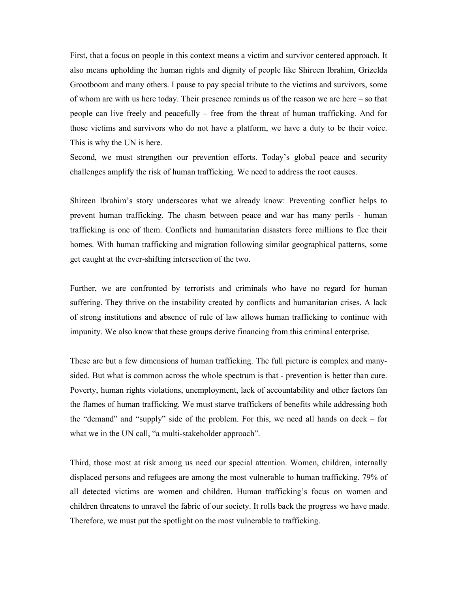First, that a focus on people in this context means a victim and survivor centered approach. It also means upholding the human rights and dignity of people like Shireen Ibrahim, Grizelda Grootboom and many others. I pause to pay special tribute to the victims and survivors, some of whom are with us here today. Their presence reminds us of the reason we are here – so that people can live freely and peacefully – free from the threat of human trafficking. And for those victims and survivors who do not have a platform, we have a duty to be their voice. This is why the UN is here.

Second, we must strengthen our prevention efforts. Today's global peace and security challenges amplify the risk of human trafficking. We need to address the root causes.

Shireen Ibrahim's story underscores what we already know: Preventing conflict helps to prevent human trafficking. The chasm between peace and war has many perils - human trafficking is one of them. Conflicts and humanitarian disasters force millions to flee their homes. With human trafficking and migration following similar geographical patterns, some get caught at the ever-shifting intersection of the two.

Further, we are confronted by terrorists and criminals who have no regard for human suffering. They thrive on the instability created by conflicts and humanitarian crises. A lack of strong institutions and absence of rule of law allows human trafficking to continue with impunity. We also know that these groups derive financing from this criminal enterprise.

These are but a few dimensions of human trafficking. The full picture is complex and manysided. But what is common across the whole spectrum is that - prevention is better than cure. Poverty, human rights violations, unemployment, lack of accountability and other factors fan the flames of human trafficking. We must starve traffickers of benefits while addressing both the "demand" and "supply" side of the problem. For this, we need all hands on deck – for what we in the UN call, "a multi-stakeholder approach".

Third, those most at risk among us need our special attention. Women, children, internally displaced persons and refugees are among the most vulnerable to human trafficking. 79% of all detected victims are women and children. Human trafficking's focus on women and children threatens to unravel the fabric of our society. It rolls back the progress we have made. Therefore, we must put the spotlight on the most vulnerable to trafficking.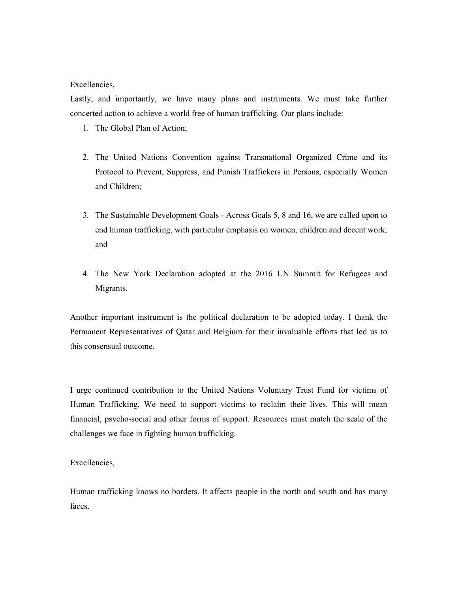Excellencies,

Lastly, and importantly, we have many plans and instruments. We must take further concerted action to achieve a world free of human trafficking. Our plans include:

- 1. The Global Plan of Action;
- 2. The United Nations Convention against Transnational Organized Crime and its Protocol to Prevent, Suppress, and Punish Traffickers in Persons, especially Women and Children;
- 3. The Sustainable Development Goals Across Goals 5, 8 and 16, we are called upon to end human trafficking, with particular emphasis on women, children and decent work; and
- 4. The New York Declaration adopted at the 2016 UN Summit for Refugees and Migrants.

Another important instrument is the political declaration to be adopted today. I thank the Permanent Representatives of Qatar and Belgium for their invaluable efforts that led us to this consensual outcome.

I urge continued contribution to the United Nations Voluntary Trust Fund for victims of Human Trafficking. We need to support victims to reclaim their lives. This will mean financial, psycho-social and other forms of support. Resources must match the scale of the challenges we face in fighting human trafficking.

Excellencies,

Human trafficking knows no borders. It affects people in the north and south and has many faces.